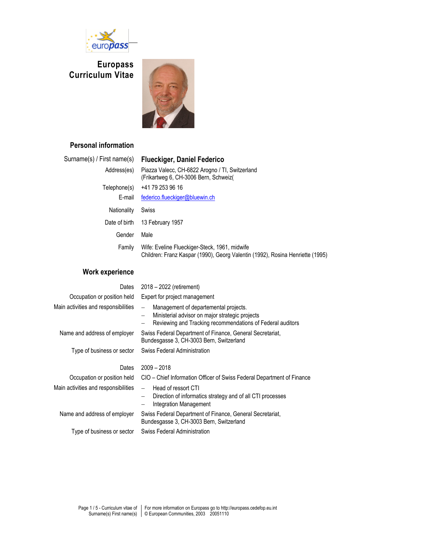

**Europass Curriculum Vitae** 



## **Personal information**

| Surname(s) / First name(s) | <b>Flueckiger, Daniel Federico</b>                                                                                             |
|----------------------------|--------------------------------------------------------------------------------------------------------------------------------|
| Address(es)                | Piazza Valecc, CH-6822 Arogno / TI, Switzerland<br>(Frikartweg 6, CH-3006 Bern, Schweiz(                                       |
| Telephone(s)               | +41 79 253 96 16                                                                                                               |
| E-mail                     | federico.flueckiger@bluewin.ch                                                                                                 |
| <b>Nationality</b>         | Swiss                                                                                                                          |
| Date of birth              | 13 February 1957                                                                                                               |
| Gender                     | Male                                                                                                                           |
| Family                     | Wife: Eveline Flueckiger-Steck, 1961, midwife<br>Children: Franz Kaspar (1990), Georg Valentin (1992), Rosina Henriette (1995) |

## **Work experience**

| Dates                                | 2018 - 2022 (retirement)                                                                                                                                                                |  |  |  |  |  |
|--------------------------------------|-----------------------------------------------------------------------------------------------------------------------------------------------------------------------------------------|--|--|--|--|--|
| Occupation or position held          | Expert for project management                                                                                                                                                           |  |  |  |  |  |
| Main activities and responsibilities | Management of departemental projects.<br>$\equiv$<br>Ministerial advisor on major strategic projects<br>$\qquad \qquad -$<br>Reviewing and Tracking recommendations of Federal auditors |  |  |  |  |  |
| Name and address of employer         | Swiss Federal Department of Finance, General Secretariat,<br>Bundesgasse 3, CH-3003 Bern, Switzerland                                                                                   |  |  |  |  |  |
| Type of business or sector           | <b>Swiss Federal Administration</b>                                                                                                                                                     |  |  |  |  |  |
| Dates                                | $2009 - 2018$                                                                                                                                                                           |  |  |  |  |  |
| Occupation or position held          | CIO - Chief Information Officer of Swiss Federal Department of Finance                                                                                                                  |  |  |  |  |  |
| Main activities and responsibilities | Head of ressort CTI<br>$\equiv$<br>Direction of informatics strategy and of all CTI processes<br>$\qquad \qquad -$<br>Integration Management<br>-                                       |  |  |  |  |  |
| Name and address of employer         | Swiss Federal Department of Finance, General Secretariat,<br>Bundesgasse 3, CH-3003 Bern, Switzerland                                                                                   |  |  |  |  |  |
| Type of business or sector           | Swiss Federal Administration                                                                                                                                                            |  |  |  |  |  |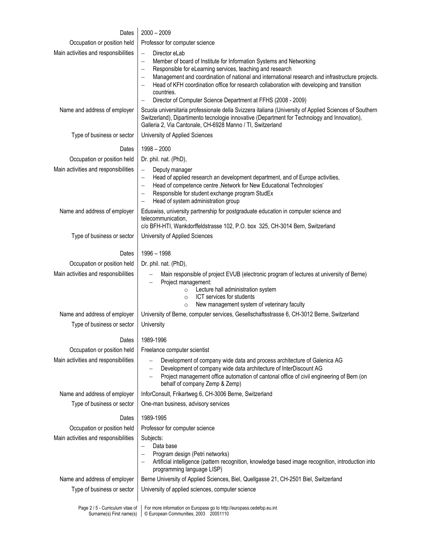| Dates                                                        | $2000 - 2009$                                                                                                                                                                                                                                                                                                                                                                                                                                                                                                                                          |  |  |  |  |  |
|--------------------------------------------------------------|--------------------------------------------------------------------------------------------------------------------------------------------------------------------------------------------------------------------------------------------------------------------------------------------------------------------------------------------------------------------------------------------------------------------------------------------------------------------------------------------------------------------------------------------------------|--|--|--|--|--|
| Occupation or position held                                  |                                                                                                                                                                                                                                                                                                                                                                                                                                                                                                                                                        |  |  |  |  |  |
| Main activities and responsibilities                         | Professor for computer science<br>Director eLab<br>$\overline{\phantom{m}}$<br>Member of board of Institute for Information Systems and Networking<br>$\overline{\phantom{m}}$<br>Responsible for eLearning services, teaching and research<br>Management and coordination of national and international research and infrastructure projects.<br>Head of KFH coordination office for research collaboration with developing and transition<br>countries.<br>Director of Computer Science Department at FFHS (2008 - 2009)<br>$\overline{\phantom{m}}$ |  |  |  |  |  |
| Name and address of employer                                 | Scuola universitaria professionale della Svizzera italiana (University of Applied Sciences of Southern<br>Switzerland), Dipartimento tecnologie innovative (Department for Technology and Innovation),<br>Galleria 2, Via Cantonale, CH-6928 Manno / TI, Switzerland                                                                                                                                                                                                                                                                                   |  |  |  |  |  |
| Type of business or sector                                   | University of Applied Sciences                                                                                                                                                                                                                                                                                                                                                                                                                                                                                                                         |  |  |  |  |  |
| Dates                                                        | 1998 - 2000                                                                                                                                                                                                                                                                                                                                                                                                                                                                                                                                            |  |  |  |  |  |
| Occupation or position held                                  | Dr. phil. nat. (PhD),                                                                                                                                                                                                                                                                                                                                                                                                                                                                                                                                  |  |  |  |  |  |
| Main activities and responsibilities                         | Deputy manager<br>$\overline{\phantom{m}}$<br>Head of applied research an development department, and of Europe activities,<br>$\overline{\phantom{m}}$<br>Head of competence centre , Network for New Educational Technologies'<br>$\overline{\phantom{m}}$<br>Responsible for student exchange program StudEx<br>Head of system administration group                                                                                                                                                                                                 |  |  |  |  |  |
| Name and address of employer                                 | Eduswiss, university partnership for postgraduate education in computer science and<br>telecommunication,<br>c/o BFH-HTI, Wankdorffeldstrasse 102, P.O. box 325, CH-3014 Bern, Switzerland                                                                                                                                                                                                                                                                                                                                                             |  |  |  |  |  |
| Type of business or sector                                   | University of Applied Sciences                                                                                                                                                                                                                                                                                                                                                                                                                                                                                                                         |  |  |  |  |  |
| Dates                                                        | 1996 - 1998                                                                                                                                                                                                                                                                                                                                                                                                                                                                                                                                            |  |  |  |  |  |
| Occupation or position held                                  | Dr. phil. nat. (PhD),                                                                                                                                                                                                                                                                                                                                                                                                                                                                                                                                  |  |  |  |  |  |
| Main activities and responsibilities                         | Main responsible of project EVUB (electronic program of lectures at university of Berne)<br>$\qquad \qquad -$<br>Project management:<br>$\overline{\phantom{0}}$<br>Lecture hall administration system<br>$\circ$<br>ICT services for students<br>$\circ$<br>New management system of veterinary faculty<br>$\circ$                                                                                                                                                                                                                                    |  |  |  |  |  |
| Name and address of employer<br>Type of business or sector   | University of Berne, computer services, Gesellschaftsstrasse 6, CH-3012 Berne, Switzerland<br>University                                                                                                                                                                                                                                                                                                                                                                                                                                               |  |  |  |  |  |
| Dates                                                        | 1989-1996                                                                                                                                                                                                                                                                                                                                                                                                                                                                                                                                              |  |  |  |  |  |
| Occupation or position held                                  | Freelance computer scientist                                                                                                                                                                                                                                                                                                                                                                                                                                                                                                                           |  |  |  |  |  |
| Main activities and responsibilities                         | Development of company wide data and process architecture of Galenica AG<br>Development of company wide data architecture of InterDiscount AG<br>Project management office automation of cantonal office of civil engineering of Bern (on<br>behalf of company Zemp & Zemp)                                                                                                                                                                                                                                                                            |  |  |  |  |  |
| Name and address of employer                                 | InforConsult, Frikartweg 6, CH-3006 Berne, Switzerland                                                                                                                                                                                                                                                                                                                                                                                                                                                                                                 |  |  |  |  |  |
| Type of business or sector                                   | One-man business, advisory services                                                                                                                                                                                                                                                                                                                                                                                                                                                                                                                    |  |  |  |  |  |
| Dates                                                        | 1989-1995                                                                                                                                                                                                                                                                                                                                                                                                                                                                                                                                              |  |  |  |  |  |
| Occupation or position held                                  | Professor for computer science                                                                                                                                                                                                                                                                                                                                                                                                                                                                                                                         |  |  |  |  |  |
| Main activities and responsibilities                         | Subjects:<br>Data base<br>$\qquad \qquad -$<br>Program design (Petri networks)<br>Artificial intelligence (pattern recognition, knowledge based image recognition, introduction into<br>programming language LISP)                                                                                                                                                                                                                                                                                                                                     |  |  |  |  |  |
| Name and address of employer                                 | Berne University of Applied Sciences, Biel, Quellgasse 21, CH-2501 Biel, Switzerland                                                                                                                                                                                                                                                                                                                                                                                                                                                                   |  |  |  |  |  |
| Type of business or sector                                   | University of applied sciences, computer science                                                                                                                                                                                                                                                                                                                                                                                                                                                                                                       |  |  |  |  |  |
| Page 2 / 5 - Curriculum vitae of<br>Surname(s) First name(s) | For more information on Europass go to http://europass.cedefop.eu.int<br>© European Communities, 2003 20051110                                                                                                                                                                                                                                                                                                                                                                                                                                         |  |  |  |  |  |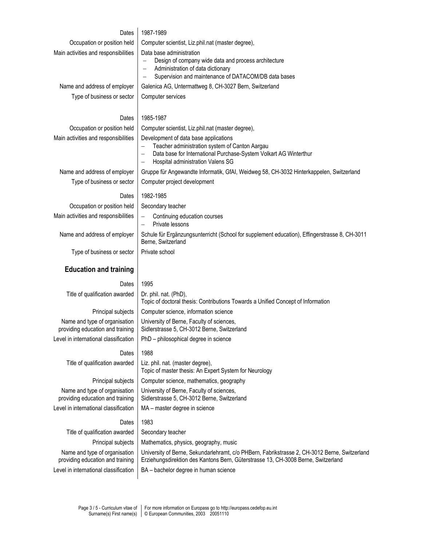## Dates 1987-1989

| υαισο                                                             | 1907-1909                                                                                                                                                                                                                      |  |  |  |  |  |
|-------------------------------------------------------------------|--------------------------------------------------------------------------------------------------------------------------------------------------------------------------------------------------------------------------------|--|--|--|--|--|
| Occupation or position held                                       | Computer scientist, Liz.phil.nat (master degree),                                                                                                                                                                              |  |  |  |  |  |
| Main activities and responsibilities                              | Data base administration<br>Design of company wide data and process architecture<br>Administration of data dictionary<br>$\qquad \qquad -$<br>Supervision and maintenance of DATACOM/DB data bases<br>$\overline{\phantom{m}}$ |  |  |  |  |  |
| Name and address of employer                                      | Galenica AG, Untermattweg 8, CH-3027 Bern, Switzerland                                                                                                                                                                         |  |  |  |  |  |
| Type of business or sector                                        | Computer services                                                                                                                                                                                                              |  |  |  |  |  |
| Dates                                                             | 1985-1987                                                                                                                                                                                                                      |  |  |  |  |  |
| Occupation or position held                                       | Computer scientist, Liz.phil.nat (master degree),                                                                                                                                                                              |  |  |  |  |  |
| Main activities and responsibilities                              | Development of data base applications<br>Teacher administration system of Canton Aargau<br>Data base for International Purchase-System Volkart AG Winterthur<br>Hospital administration Valens SG                              |  |  |  |  |  |
| Name and address of employer                                      | Gruppe für Angewandte Informatik, GfAI, Weidweg 58, CH-3032 Hinterkappelen, Switzerland                                                                                                                                        |  |  |  |  |  |
| Type of business or sector                                        | Computer project development                                                                                                                                                                                                   |  |  |  |  |  |
| Dates                                                             | 1982-1985                                                                                                                                                                                                                      |  |  |  |  |  |
| Occupation or position held                                       | Secondary teacher                                                                                                                                                                                                              |  |  |  |  |  |
| Main activities and responsibilities                              | Continuing education courses<br>Private lessons<br>$\overline{\phantom{0}}$                                                                                                                                                    |  |  |  |  |  |
| Name and address of employer                                      | Schule für Ergänzungsunterricht (School for supplement education), Effingerstrasse 8, CH-3011<br>Berne, Switzerland                                                                                                            |  |  |  |  |  |
| Type of business or sector                                        | Private school                                                                                                                                                                                                                 |  |  |  |  |  |
|                                                                   |                                                                                                                                                                                                                                |  |  |  |  |  |
| <b>Education and training</b>                                     |                                                                                                                                                                                                                                |  |  |  |  |  |
| Dates                                                             | 1995                                                                                                                                                                                                                           |  |  |  |  |  |
| Title of qualification awarded                                    | Dr. phil. nat. (PhD),<br>Topic of doctoral thesis: Contributions Towards a Unified Concept of Information                                                                                                                      |  |  |  |  |  |
| Principal subjects                                                | Computer science, information science                                                                                                                                                                                          |  |  |  |  |  |
| Name and type of organisation<br>providing education and training | University of Berne, Faculty of sciences,<br>Sidlerstrasse 5, CH-3012 Berne, Switzerland                                                                                                                                       |  |  |  |  |  |
| Level in international classification                             | PhD - philosophical degree in science                                                                                                                                                                                          |  |  |  |  |  |
|                                                                   | 1988                                                                                                                                                                                                                           |  |  |  |  |  |
| Dates<br>Title of qualification awarded                           | Liz. phil. nat. (master degree),<br>Topic of master thesis: An Expert System for Neurology                                                                                                                                     |  |  |  |  |  |
| Principal subjects                                                | Computer science, mathematics, geography                                                                                                                                                                                       |  |  |  |  |  |
| Name and type of organisation<br>providing education and training | University of Berne, Faculty of sciences,<br>Sidlerstrasse 5, CH-3012 Berne, Switzerland                                                                                                                                       |  |  |  |  |  |
| Level in international classification                             | MA - master degree in science                                                                                                                                                                                                  |  |  |  |  |  |
| Dates                                                             | 1983                                                                                                                                                                                                                           |  |  |  |  |  |
| Title of qualification awarded                                    | Secondary teacher                                                                                                                                                                                                              |  |  |  |  |  |
| Principal subjects                                                | Mathematics, physics, geography, music                                                                                                                                                                                         |  |  |  |  |  |
| Name and type of organisation<br>providing education and training | University of Berne, Sekundarlehramt, c/o PHBern, Fabrikstrasse 2, CH-3012 Berne, Switzerland<br>Erziehungsdirektion des Kantons Bern, Güterstrasse 13, CH-3008 Berne, Switzerland                                             |  |  |  |  |  |
| Level in international classification                             | BA - bachelor degree in human science                                                                                                                                                                                          |  |  |  |  |  |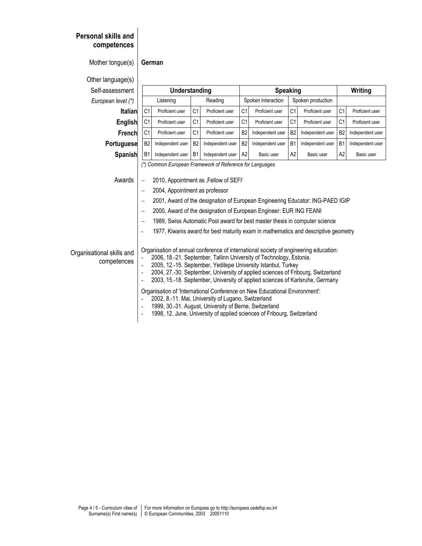| <b>Personal skills and</b><br>competences<br>Mother tongue(s) |                                                                                                       | German                         |                |                                                                                                                                                                                                                                                                                                                                                                                                                                                                                                                                                                                                                                                                             |                 |                    |                |                   |                |                  |  |
|---------------------------------------------------------------|-------------------------------------------------------------------------------------------------------|--------------------------------|----------------|-----------------------------------------------------------------------------------------------------------------------------------------------------------------------------------------------------------------------------------------------------------------------------------------------------------------------------------------------------------------------------------------------------------------------------------------------------------------------------------------------------------------------------------------------------------------------------------------------------------------------------------------------------------------------------|-----------------|--------------------|----------------|-------------------|----------------|------------------|--|
| Other language(s)                                             |                                                                                                       |                                |                |                                                                                                                                                                                                                                                                                                                                                                                                                                                                                                                                                                                                                                                                             |                 |                    |                |                   |                |                  |  |
| Self-assessment                                               |                                                                                                       | Understanding                  |                |                                                                                                                                                                                                                                                                                                                                                                                                                                                                                                                                                                                                                                                                             | <b>Speaking</b> |                    |                |                   | Writing        |                  |  |
| European level (*)                                            |                                                                                                       | Listening                      |                | Reading                                                                                                                                                                                                                                                                                                                                                                                                                                                                                                                                                                                                                                                                     |                 | Spoken interaction |                | Spoken production |                |                  |  |
| <b>Italian</b>                                                | C <sub>1</sub>                                                                                        | Proficient user                | C <sub>1</sub> | Proficient user                                                                                                                                                                                                                                                                                                                                                                                                                                                                                                                                                                                                                                                             | C <sub>1</sub>  | Proficient user    | C <sub>1</sub> | Proficient user   | C <sub>1</sub> | Proficient user  |  |
| English                                                       | C <sub>1</sub>                                                                                        | Proficient user                | C <sub>1</sub> | Proficient user                                                                                                                                                                                                                                                                                                                                                                                                                                                                                                                                                                                                                                                             | C <sub>1</sub>  | Proficient user    | C <sub>1</sub> | Proficient user   | C <sub>1</sub> | Proficient user  |  |
| French                                                        | C <sub>1</sub>                                                                                        | Proficient user                | C <sub>1</sub> | Proficient user                                                                                                                                                                                                                                                                                                                                                                                                                                                                                                                                                                                                                                                             | <b>B2</b>       | Independent user   | B <sub>2</sub> | Independent user  | B <sub>2</sub> | Independent user |  |
| Portuguese                                                    | B <sub>2</sub>                                                                                        | Independent user               | B <sub>2</sub> | Independent user                                                                                                                                                                                                                                                                                                                                                                                                                                                                                                                                                                                                                                                            | <b>B2</b>       | Independent user   | B <sub>1</sub> | Independent user  | B <sub>1</sub> | Independent user |  |
| Spanish                                                       | B1                                                                                                    | Independent user               | <b>B1</b>      | Independent user                                                                                                                                                                                                                                                                                                                                                                                                                                                                                                                                                                                                                                                            | A <sub>2</sub>  | Basic user         | A2             | Basic user        | A2             | Basic user       |  |
| Awards                                                        | $\overline{\phantom{0}}$<br>$\qquad \qquad -$<br>$\overline{\phantom{0}}$<br>$\overline{\phantom{a}}$ | 2004, Appointment as professor |                | (*) Common European Framework of Reference for Languages<br>2010, Appointment as , Fellow of SEFI'<br>2001, Award of the designation of European Engineering Educator: ING-PAED IGIP<br>2000, Award of the designation of European Engineer: EUR ING FEANI<br>1989, Swiss Automatic Pool award for best master thesis in computer science<br>1977, Kiwanis award for best maturity exam in mathematics and descriptive geometry                                                                                                                                                                                                                                             |                 |                    |                |                   |                |                  |  |
| Organisational skills and<br>competences                      | $\blacksquare$<br>$\blacksquare$                                                                      |                                |                | Organisation of annual conference of international society of engineering education:<br>2006, 18.-21. September, Tallinn University of Technology, Estonia.<br>2005, 12.-15. September, Yeditepe University Istanbul, Turkey<br>2004, 27.-30. September, University of applied sciences of Fribourg, Switzerland<br>2003, 15.-18. September, University of applied sciences of Karlsruhe, Germany<br>Organisation of 'International Conference on New Educational Environment':<br>2002, 8.-11. Mai, University of Lugano, Switzerland<br>1999, 30.-31. August, University of Berne, Switzerland<br>1998, 12. June, University of applied sciences of Fribourg, Switzerland |                 |                    |                |                   |                |                  |  |